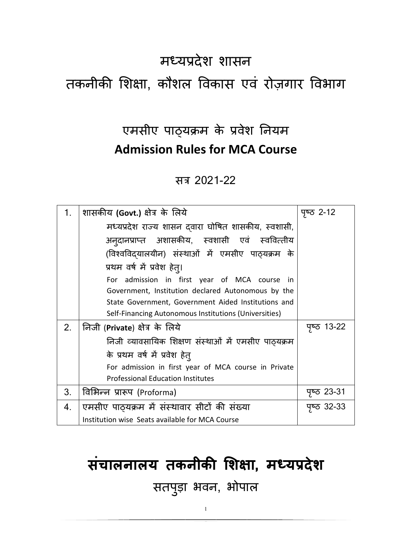# मध्यप्रदेश शासन तकनीकी शिक्षा, कौशल विकास एवं रोज़गार विभाग

# एमसीए पाठ्यक्रम के प्रवेश नियम **Admission Rules for MCA Course**

# सत्र 2021-22

| 1. | शासकीय (Govt.) क्षेत्र के लिये                        | ਧ੍ਰਾਕ 2-12        |  |  |
|----|-------------------------------------------------------|-------------------|--|--|
|    | मध्यप्रदेश राज्य शासन दवारा घोषित शासकीय, स्वशासी,    |                   |  |  |
|    | अन्दानप्राप्त अशासकीय, स्वशासी एवं स्ववित्तीय         |                   |  |  |
|    | (विश्वविदयालयीन) संस्थाओं में एमसीए पाठ्यक्रम के      |                   |  |  |
|    | प्रथम वर्ष में प्रवेश हेत्।                           |                   |  |  |
|    | For admission in first year of MCA course<br>in.      |                   |  |  |
|    | Government, Institution declared Autonomous by the    |                   |  |  |
|    | State Government, Government Aided Institutions and   |                   |  |  |
|    | Self-Financing Autonomous Institutions (Universities) |                   |  |  |
| 2. | निजी (Private) क्षेत्र के लिये                        | ਧ੍ਰਾਨ 13-22       |  |  |
|    | निजी व्यावसायिक शिक्षण संस्थाओं में एमसीए पाठयक्रम    |                   |  |  |
|    | के प्रथम वर्ष में प्रवेश हेत्                         |                   |  |  |
|    | For admission in first year of MCA course in Private  |                   |  |  |
|    | <b>Professional Education Institutes</b>              |                   |  |  |
| 3. | विभिन्न प्रारूप (Proforma)                            | <u>ਧ</u> ਾਲ 23-31 |  |  |
| 4. | एमसीए पाठ्यक्रम में संस्थावार सीटों की संख्या         | <u>ਧ</u> ਾਠ 32-33 |  |  |
|    | Institution wise Seats available for MCA Course       |                   |  |  |

# **संचालनालय तकनीक 
शा, मयदेश**

सतपुड़ा भवन, भोपाल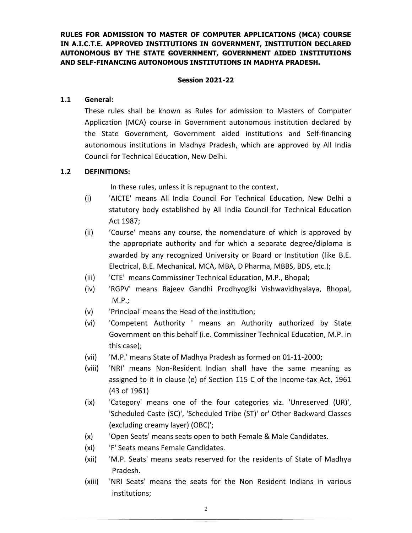**RULES FOR ADMISSION TO MASTER OF COMPUTER APPLICATIONS (MCA) COURSE IN A.I.C.T.E. APPROVED INSTITUTIONS IN GOVERNMENT, INSTITUTION DECLARED AUTONOMOUS BY THE STATE GOVERNMENT, GOVERNMENT AIDED INSTITUTIONS AND SELF-FINANCING AUTONOMOUS INSTITUTIONS IN MADHYA PRADESH.** 

#### **Session 2021-22**

#### **1.1 General:**

These rules shall be known as Rules for admission to Masters of Computer Application (MCA) course in Government autonomous institution declared by the State Government, Government aided institutions and Self-financing autonomous institutions in Madhya Pradesh, which are approved by All India Council for Technical Education, New Delhi.

#### **1.2 DEFINITIONS:**

In these rules, unless it is repugnant to the context,

- (i) 'AICTE' means All India Council For Technical Education, New Delhi a statutory body established by All India Council for Technical Education Act 1987;
- (ii) 'Course' means any course, the nomenclature of which is approved by the appropriate authority and for which a separate degree/diploma is awarded by any recognized University or Board or Institution (like B.E. Electrical, B.E. Mechanical, MCA, MBA, D Pharma, MBBS, BDS, etc.);
- (iii) 'CTE' means Commissiner Technical Education, M.P., Bhopal;
- (iv) 'RGPV' means Rajeev Gandhi Prodhyogiki Vishwavidhyalaya, Bhopal, M.P.;
- (v) 'Principal' means the Head of the institution;
- (vi) 'Competent Authority ' means an Authority authorized by State Government on this behalf (i.e. Commissiner Technical Education, M.P. in this case);
- (vii) 'M.P.' means State of Madhya Pradesh as formed on 01-11-2000;
- (viii) 'NRI' means Non-Resident Indian shall have the same meaning as assigned to it in clause (e) of Section 115 C of the Income-tax Act, 1961 (43 of 1961)
- (ix) 'Category' means one of the four categories viz. 'Unreserved (UR)', 'Scheduled Caste (SC)', 'Scheduled Tribe (ST)' or' Other Backward Classes (excluding creamy layer) (OBC)';
- (x) 'Open Seats' means seats open to both Female & Male Candidates.
- (xi) 'F' Seats means Female Candidates.
- (xii) 'M.P. Seats' means seats reserved for the residents of State of Madhya Pradesh.
- (xiii) 'NRI Seats' means the seats for the Non Resident Indians in various institutions;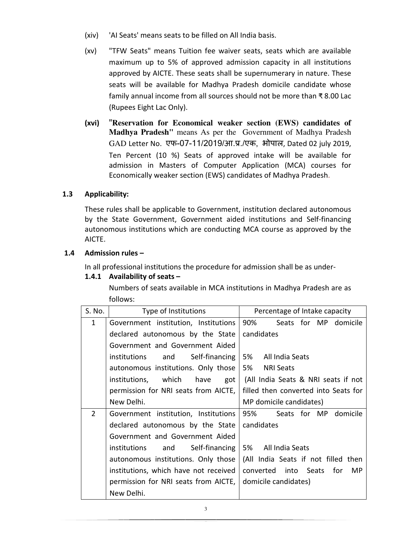- (xiv) 'AI Seats' means seats to be filled on All India basis.
- (xv) "TFW Seats" means Tuition fee waiver seats, seats which are available maximum up to 5% of approved admission capacity in all institutions approved by AICTE. These seats shall be supernumerary in nature. These seats will be available for Madhya Pradesh domicile candidate whose family annual income from all sources should not be more than ₹ 8.00 Lac (Rupees Eight Lac Only).
- **(xvi)** "**Reservation for Economical weaker section (EWS) candidates of Madhya Pradesh"** means As per the Government of Madhya Pradesh GAD Letter No. एफ-07-11/2019/आ../एक, भोपाल, Dated 02 july 2019, Ten Percent (10 %) Seats of approved intake will be available for admission in Masters of Computer Application (MCA) courses for Economically weaker section (EWS) candidates of Madhya Pradesh.

#### **1.3 Applicability:**

These rules shall be applicable to Government, institution declared autonomous by the State Government, Government aided institutions and Self-financing autonomous institutions which are conducting MCA course as approved by the AICTE.

#### **1.4 Admission rules –**

In all professional institutions the procedure for admission shall be as under-

#### **1.4.1 Availability of seats –**

Numbers of seats available in MCA institutions in Madhya Pradesh are as follows:

| S. No.       | Type of Institutions                         | Percentage of Intake capacity        |
|--------------|----------------------------------------------|--------------------------------------|
| $\mathbf{1}$ | Government institution, Institutions         | 90%<br>Seats for MP domicile         |
|              | declared autonomous by the State             | candidates                           |
|              | Government and Government Aided              |                                      |
|              | <i>institutions</i><br>Self-financing<br>and | 5%       All India Seats             |
|              | autonomous institutions. Only those          | 5% NRI Seats                         |
|              | institutions, which have<br>got              | (All India Seats & NRI seats if not  |
|              | permission for NRI seats from AICTE,         | filled then converted into Seats for |
|              | New Delhi.                                   | MP domicile candidates)              |
| $2^{\circ}$  | Government institution, Institutions         | 95% Seats for MP domicile            |
|              | declared autonomous by the State             | candidates                           |
|              | Government and Government Aided              |                                      |
|              | and<br>Self-financing<br>institutions        | 5% All India Seats                   |
|              | autonomous institutions. Only those          | (All India Seats if not filled then  |
|              | institutions, which have not received        | converted into Seats for MP          |
|              | permission for NRI seats from AICTE,         | domicile candidates)                 |
|              | New Delhi.                                   |                                      |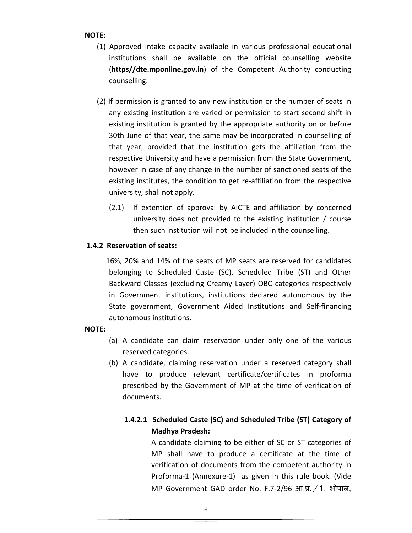#### **NOTE:**

- (1) Approved intake capacity available in various professional educational institutions shall be available on the official counselling website (**https//dte.mponline.gov.in**) of the Competent Authority conducting counselling.
- (2) If permission is granted to any new institution or the number of seats in any existing institution are varied or permission to start second shift in existing institution is granted by the appropriate authority on or before 30th June of that year, the same may be incorporated in counselling of that year, provided that the institution gets the affiliation from the respective University and have a permission from the State Government, however in case of any change in the number of sanctioned seats of the existing institutes, the condition to get re-affiliation from the respective university, shall not apply.
	- (2.1) If extention of approval by AICTE and affiliation by concerned university does not provided to the existing institution / course then such institution will not be included in the counselling.

#### **1.4.2 Reservation of seats:**

16%, 20% and 14% of the seats of MP seats are reserved for candidates belonging to Scheduled Caste (SC), Scheduled Tribe (ST) and Other Backward Classes (excluding Creamy Layer) OBC categories respectively in Government institutions, institutions declared autonomous by the State government, Government Aided Institutions and Self-financing autonomous institutions.

#### **NOTE:**

- (a) A candidate can claim reservation under only one of the various reserved categories.
- (b) A candidate, claiming reservation under a reserved category shall have to produce relevant certificate/certificates in proforma prescribed by the Government of MP at the time of verification of documents.

### **1.4.2.1 Scheduled Caste (SC) and Scheduled Tribe (ST) Category of Madhya Pradesh:**

A candidate claiming to be either of SC or ST categories of MP shall have to produce a certificate at the time of verification of documents from the competent authority in Proforma-1 (Annexure-1) as given in this rule book. (Vide MP Government GAD order No. F.7-2/96 आ.प. / 1, भोपाल,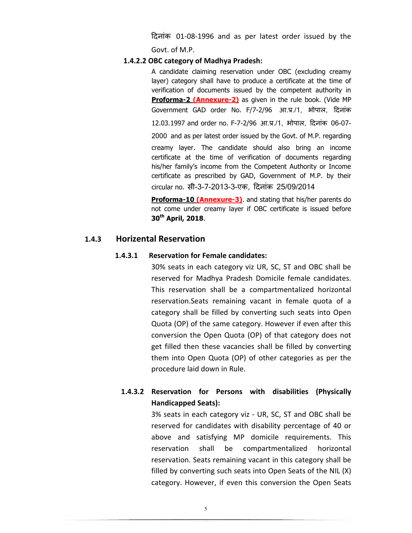Mदनांक 01-08-1996 and as per latest order issued by the

Govt. of M.P.

#### **1.4.2.2 OBC category of Madhya Pradesh:**

A candidate claiming reservation under OBC (excluding creamy layer) category shall have to produce a certificate at the time of verification of documents issued by the competent authority in **Proforma-2 (Annexure-2)** as given in the rule book. (Vide MP Government GAD order No. F/7-2/96 आ.प./1, भोपाल, दिनांक

12.03.1997 and order no. F-7-2/96 आ.प./1, भोपाल, दिनांक 06-07-

2000 and as per latest order issued by the Govt. of M.P. regarding

creamy layer. The candidate should also bring an income certificate at the time of verification of documents regarding his/her family's income from the Competent Authority or Income certificate as prescribed by GAD, Government of M.P. by their circular no. सी-3-7-2013-3-एक, Mदनांक 25/09/2014

**Proforma-10 (Annexure-3)**. and stating that his/her parents do not come under creamy layer if OBC certificate is issued before **30th April, 2018**.

#### **1.4.3 Horizental Reservation**

#### **1.4.3.1 Reservation for Female candidates:**

30% seats in each category viz UR, SC, ST and OBC shall be reserved for Madhya Pradesh Domicile female candidates. This reservation shall be a compartmentalized horizontal reservation.Seats remaining vacant in female quota of a category shall be filled by converting such seats into Open Quota (OP) of the same category. However if even after this conversion the Open Quota (OP) of that category does not get filled then these vacancies shall be filled by converting them into Open Quota (OP) of other categories as per the procedure laid down in Rule.

#### **1.4.3.2 Reservation for Persons with disabilities (Physically Handicapped Seats):**

3% seats in each category viz - UR, SC, ST and OBC shall be reserved for candidates with disability percentage of 40 or above and satisfying MP domicile requirements. This reservation shall be compartmentalized horizontal reservation. Seats remaining vacant in this category shall be filled by converting such seats into Open Seats of the NIL (X) category. However, if even this conversion the Open Seats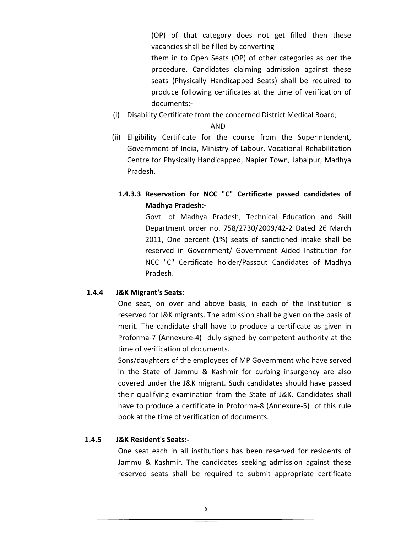(OP) of that category does not get filled then these vacancies shall be filled by converting

them in to Open Seats (OP) of other categories as per the procedure. Candidates claiming admission against these seats (Physically Handicapped Seats) shall be required to produce following certificates at the time of verification of documents:-

(i) Disability Certificate from the concerned District Medical Board;

AND

(ii) Eligibility Certificate for the course from the Superintendent, Government of India, Ministry of Labour, Vocational Rehabilitation Centre for Physically Handicapped, Napier Town, Jabalpur, Madhya Pradesh.

#### **1.4.3.3 Reservation for NCC "C" Certificate passed candidates of Madhya Pradesh:-**

 Govt. of Madhya Pradesh, Technical Education and Skill Department order no. 758/2730/2009/42-2 Dated 26 March 2011, One percent (1%) seats of sanctioned intake shall be reserved in Government/ Government Aided Institution for NCC "C" Certificate holder/Passout Candidates of Madhya Pradesh.

#### **1.4.4 J&K Migrant's Seats:**

One seat, on over and above basis, in each of the Institution is reserved for J&K migrants. The admission shall be given on the basis of merit. The candidate shall have to produce a certificate as given in Proforma-7 (Annexure-4) duly signed by competent authority at the time of verification of documents.

Sons/daughters of the employees of MP Government who have served in the State of Jammu & Kashmir for curbing insurgency are also covered under the J&K migrant. Such candidates should have passed their qualifying examination from the State of J&K. Candidates shall have to produce a certificate in Proforma-8 (Annexure-5) of this rule book at the time of verification of documents.

#### **1.4.5 J&K Resident's Seats:-**

One seat each in all institutions has been reserved for residents of Jammu & Kashmir. The candidates seeking admission against these reserved seats shall be required to submit appropriate certificate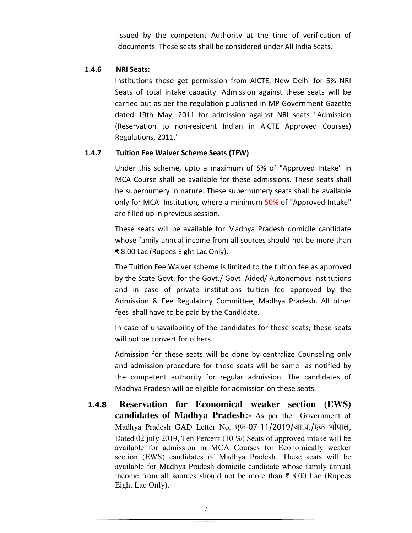issued by the competent Authority at the time of verification of documents. These seats shall be considered under All India Seats.

#### **1.4.6 NRI Seats:**

Institutions those get permission from AICTE, New Delhi for 5% NRI Seats of total intake capacity. Admission against these seats will be carried out as per the regulation published in MP Government Gazette dated 19th May, 2011 for admission against NRI seats "Admission (Reservation to non-resident Indian in AICTE Approved Courses) Regulations, 2011."

#### **1.4.7 Tuition Fee Waiver Scheme Seats (TFW)**

Under this scheme, upto a maximum of 5% of "Approved Intake" in MCA Course shall be available for these admissions. These seats shall be supernumery in nature. These supernumery seats shall be available only for MCA Institution, where a minimum 50% of "Approved Intake" are filled up in previous session.

These seats will be available for Madhya Pradesh domicile candidate whose family annual income from all sources should not be more than ₹ 8.00 Lac (Rupees Eight Lac Only).

The Tuition Fee Waiver scheme is limited to the tuition fee as approved by the State Govt. for the Govt./ Govt. Aided/ Autonomous Institutions and in case of private institutions tuition fee approved by the Admission & Fee Regulatory Committee, Madhya Pradesh. All other fees shall have to be paid by the Candidate.

In case of unavailability of the candidates for these seats; these seats will not be convert for others.

Admission for these seats will be done by centralize Counseling only and admission procedure for these seats will be same as notified by the competent authority for regular admission. The candidates of Madhya Pradesh will be eligible for admission on these seats.

**1.4.8 Reservation for Economical weaker section (EWS) candidates of Madhya Pradesh:** As per the Government of Madhya Pradesh GAD Letter No. एफ-07-11/2019/आ.प्र./एक भोपाल, Dated 02 july 2019, Ten Percent (10 %) Seats of approved intake will be available for admission in MCA Courses for Economically weaker section (EWS) candidates of Madhya Pradesh. These seats will be available for Madhya Pradesh domicile candidate whose family annual income from all sources should not be more than  $\bar{\tau}$  8.00 Lac (Rupees Eight Lac Only).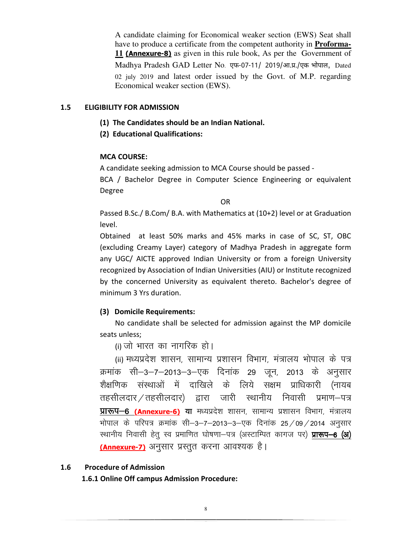A candidate claiming for Economical weaker section (EWS) Seat shall have to produce a certificate from the competent authority in **Proforma-11 (Annexure-8)** as given in this rule book, As per the Government of Madhya Pradesh GAD Letter No. एफ-07-11/ 2019/आ.प्र./एक भोपाल, Dated 02 july 2019 and latest order issued by the Govt. of M.P. regarding Economical weaker section (EWS).

#### **1.5 ELIGIBILITY FOR ADMISSION**

- **(1) The Candidates should be an Indian National.**
- **(2) Educational Qualifications:**

#### **MCA COURSE:**

A candidate seeking admission to MCA Course should be passed -

BCA / Bachelor Degree in Computer Science Engineering or equivalent Degree

OR

Passed B.Sc./ B.Com/ B.A. with Mathematics at (10+2) level or at Graduation level.

Obtained at least 50% marks and 45% marks in case of SC, ST, OBC (excluding Creamy Layer) category of Madhya Pradesh in aggregate form any UGC/ AICTE approved Indian University or from a foreign University recognized by Association of Indian Universities (AIU) or Institute recognized by the concerned University as equivalent thereto. Bachelor's degree of minimum 3 Yrs duration.

#### **(3) Domicile Requirements:**

No candidate shall be selected for admission against the MP domicile seats unless;

(i) जो भारत का नागरिक हो।

(ii) मध्यप्रदेश शासन, सामान्य प्रशासन विभाग, मंत्रालय भोपाल के पत्र क्रमांक सी–3–7–2013–3–एक दिनांक 29 जून, 2013 के अनुसार शैक्षणिक संस्थाओं में दाखिले के लिये सक्षम प्राधिकारी (नायब तहसीलदार / तहसीलदार) द्वारा जारी स्थानीय निवासी प्रमाण–पत्र **प्रारूप-6 (Annexure-6) या** मध्यप्रदेश शासन, सामान्य प्रशासन विभाग, मंत्रालय भोपाल के परिपत्र क्रमांक सी–3–7–2013–3–एक दिनांक 25 ⁄ 09 ⁄ 2014 अनसार स्थानीय निवासी हेतू स्व प्रमाणित घोषणा–पत्र (अस्टाम्पित कागज पर) **प्रारूप–6 (अ)** <u>(Annexure-7)</u> अनुसार प्रस्तुत करना आवश्यक है।

#### **1.6 Procedure of Admission**

**1.6.1 Online Off campus Admission Procedure:**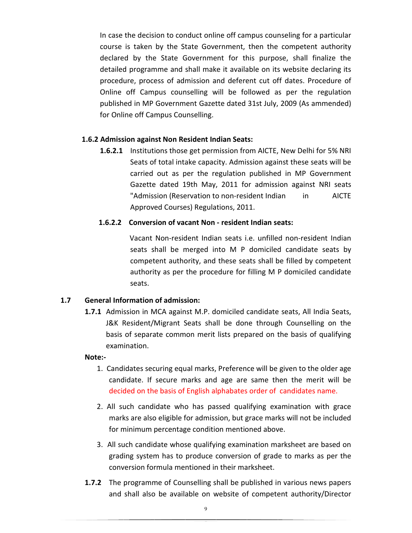In case the decision to conduct online off campus counseling for a particular course is taken by the State Government, then the competent authority declared by the State Government for this purpose, shall finalize the detailed programme and shall make it available on its website declaring its procedure, process of admission and deferent cut off dates. Procedure of Online off Campus counselling will be followed as per the regulation published in MP Government Gazette dated 31st July, 2009 (As ammended) for Online off Campus Counselling.

#### **1.6.2 Admission against Non Resident Indian Seats:**

**1.6.2.1** Institutions those get permission from AICTE, New Delhi for 5% NRI Seats of total intake capacity. Admission against these seats will be carried out as per the regulation published in MP Government Gazette dated 19th May, 2011 for admission against NRI seats "Admission (Reservation to non-resident Indian in AICTE Approved Courses) Regulations, 2011.

#### **1.6.2.2 Conversion of vacant Non - resident Indian seats:**

 Vacant Non-resident Indian seats i.e. unfilled non-resident Indian seats shall be merged into M P domiciled candidate seats by competent authority, and these seats shall be filled by competent authority as per the procedure for filling M P domiciled candidate seats.

#### **1.7 General Information of admission:**

**1.7.1** Admission in MCA against M.P. domiciled candidate seats, All India Seats, J&K Resident/Migrant Seats shall be done through Counselling on the basis of separate common merit lists prepared on the basis of qualifying examination.

#### **Note:-**

- 1. Candidates securing equal marks, Preference will be given to the older age candidate. If secure marks and age are same then the merit will be decided on the basis of English alphabates order of candidates name.
- 2. All such candidate who has passed qualifying examination with grace marks are also eligible for admission, but grace marks will not be included for minimum percentage condition mentioned above.
- 3. All such candidate whose qualifying examination marksheet are based on grading system has to produce conversion of grade to marks as per the conversion formula mentioned in their marksheet.
- **1.7.2** The programme of Counselling shall be published in various news papers and shall also be available on website of competent authority/Director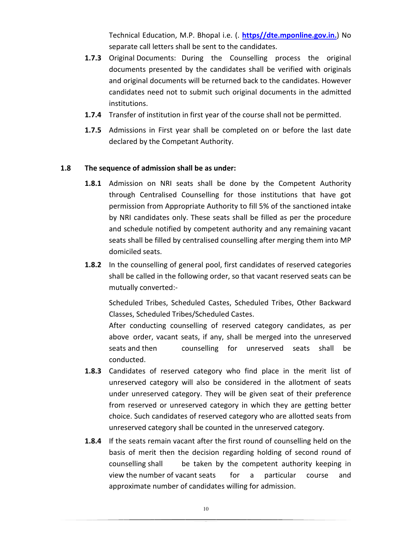Technical Education, M.P. Bhopal i.e. (. **https//dte.mponline.gov.in.**) No separate call letters shall be sent to the candidates.

- **1.7.3** Original Documents: During the Counselling process the original documents presented by the candidates shall be verified with originals and original documents will be returned back to the candidates. However candidates need not to submit such original documents in the admitted institutions.
- **1.7.4** Transfer of institution in first year of the course shall not be permitted.
- **1.7.5** Admissions in First year shall be completed on or before the last date declared by the Competant Authority.

#### **1.8 The sequence of admission shall be as under:**

- **1.8.1** Admission on NRI seats shall be done by the Competent Authority through Centralised Counselling for those institutions that have got permission from Appropriate Authority to fill 5% of the sanctioned intake by NRI candidates only. These seats shall be filled as per the procedure and schedule notified by competent authority and any remaining vacant seats shall be filled by centralised counselling after merging them into MP domiciled seats.
- **1.8.2** In the counselling of general pool, first candidates of reserved categories shall be called in the following order, so that vacant reserved seats can be mutually converted:-

Scheduled Tribes, Scheduled Castes, Scheduled Tribes, Other Backward Classes, Scheduled Tribes/Scheduled Castes.

After conducting counselling of reserved category candidates, as per above order, vacant seats, if any, shall be merged into the unreserved seats and then counselling for unreserved seats shall be conducted.

- **1.8.3** Candidates of reserved category who find place in the merit list of unreserved category will also be considered in the allotment of seats under unreserved category. They will be given seat of their preference from reserved or unreserved category in which they are getting better choice. Such candidates of reserved category who are allotted seats from unreserved category shall be counted in the unreserved category.
- **1.8.4** If the seats remain vacant after the first round of counselling held on the basis of merit then the decision regarding holding of second round of counselling shall be taken by the competent authority keeping in view the number of vacant seats for a particular course and approximate number of candidates willing for admission.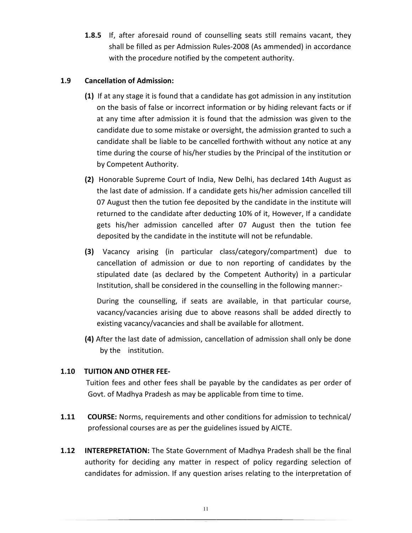**1.8.5** If, after aforesaid round of counselling seats still remains vacant, they shall be filled as per Admission Rules-2008 (As ammended) in accordance with the procedure notified by the competent authority.

#### **1.9 Cancellation of Admission:**

- **(1)** If at any stage it is found that a candidate has got admission in any institution on the basis of false or incorrect information or by hiding relevant facts or if at any time after admission it is found that the admission was given to the candidate due to some mistake or oversight, the admission granted to such a candidate shall be liable to be cancelled forthwith without any notice at any time during the course of his/her studies by the Principal of the institution or by Competent Authority.
- **(2)** Honorable Supreme Court of India, New Delhi, has declared 14th August as the last date of admission. If a candidate gets his/her admission cancelled till 07 August then the tution fee deposited by the candidate in the institute will returned to the candidate after deducting 10% of it, However, If a candidate gets his/her admission cancelled after 07 August then the tution fee deposited by the candidate in the institute will not be refundable.
- **(3)** Vacancy arising (in particular class/category/compartment) due to cancellation of admission or due to non reporting of candidates by the stipulated date (as declared by the Competent Authority) in a particular Institution, shall be considered in the counselling in the following manner:-

During the counselling, if seats are available, in that particular course, vacancy/vacancies arising due to above reasons shall be added directly to existing vacancy/vacancies and shall be available for allotment.

**(4)** After the last date of admission, cancellation of admission shall only be done by the institution.

#### **1.10 TUITION AND OTHER FEE-**

 Tuition fees and other fees shall be payable by the candidates as per order of Govt. of Madhya Pradesh as may be applicable from time to time.

- **1.11 COURSE:** Norms, requirements and other conditions for admission to technical/ professional courses are as per the guidelines issued by AICTE.
- **1.12 INTEREPRETATION:** The State Government of Madhya Pradesh shall be the final authority for deciding any matter in respect of policy regarding selection of candidates for admission. If any question arises relating to the interpretation of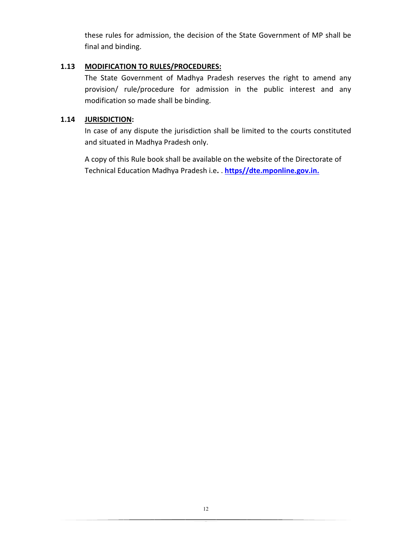these rules for admission, the decision of the State Government of MP shall be final and binding.

#### **1.13 MODIFICATION TO RULES/PROCEDURES:**

The State Government of Madhya Pradesh reserves the right to amend any provision/ rule/procedure for admission in the public interest and any modification so made shall be binding.

#### **1.14 JURISDICTION:**

In case of any dispute the jurisdiction shall be limited to the courts constituted and situated in Madhya Pradesh only.

A copy of this Rule book shall be available on the website of the Directorate of Technical Education Madhya Pradesh i.e**.** . **https//dte.mponline.gov.in.**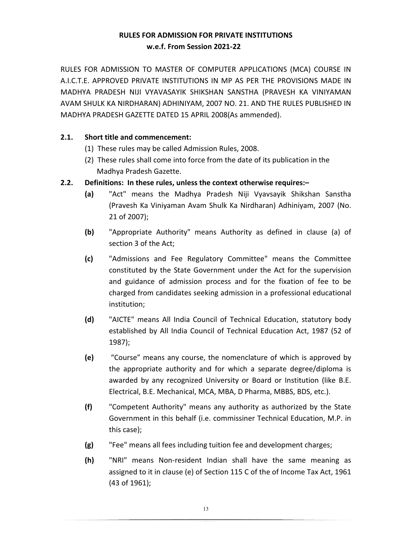#### **RULES FOR ADMISSION FOR PRIVATE INSTITUTIONS w.e.f. From Session 2021-22**

RULES FOR ADMISSION TO MASTER OF COMPUTER APPLICATIONS (MCA) COURSE IN A.I.C.T.E. APPROVED PRIVATE INSTITUTIONS IN MP AS PER THE PROVISIONS MADE IN MADHYA PRADESH NIJI VYAVASAYIK SHIKSHAN SANSTHA (PRAVESH KA VINIYAMAN AVAM SHULK KA NIRDHARAN) ADHINIYAM, 2007 NO. 21. AND THE RULES PUBLISHED IN MADHYA PRADESH GAZETTE DATED 15 APRIL 2008(As ammended).

#### **2.1. Short title and commencement:**

- (1) These rules may be called Admission Rules, 2008.
- (2) These rules shall come into force from the date of its publication in the Madhya Pradesh Gazette.

#### **2.2. Definitions: In these rules, unless the context otherwise requires:–**

- **(a)** "Act" means the Madhya Pradesh Niji Vyavsayik Shikshan Sanstha (Pravesh Ka Viniyaman Avam Shulk Ka Nirdharan) Adhiniyam, 2007 (No. 21 of 2007);
- **(b)** "Appropriate Authority" means Authority as defined in clause (a) of section 3 of the Act;
- **(c)** "Admissions and Fee Regulatory Committee" means the Committee constituted by the State Government under the Act for the supervision and guidance of admission process and for the fixation of fee to be charged from candidates seeking admission in a professional educational institution;
- **(d)** "AICTE" means All India Council of Technical Education, statutory body established by All India Council of Technical Education Act, 1987 (52 of 1987);
- **(e)** "Course" means any course, the nomenclature of which is approved by the appropriate authority and for which a separate degree/diploma is awarded by any recognized University or Board or Institution (like B.E. Electrical, B.E. Mechanical, MCA, MBA, D Pharma, MBBS, BDS, etc.).
- **(f)** "Competent Authority" means any authority as authorized by the State Government in this behalf (i.e. commissiner Technical Education, M.P. in this case);
- **(g)** "Fee" means all fees including tuition fee and development charges;
- **(h)** "NRI" means Non-resident Indian shall have the same meaning as assigned to it in clause (e) of Section 115 C of the of Income Tax Act, 1961 (43 of 1961);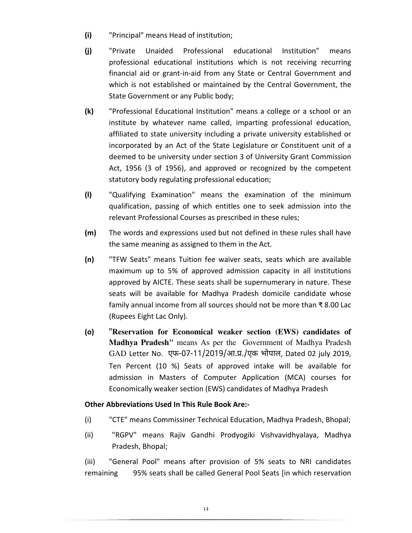- **(i)** "Principal" means Head of institution;
- **(j)** "Private Unaided Professional educational Institution" means professional educational institutions which is not receiving recurring financial aid or grant-in-aid from any State or Central Government and which is not established or maintained by the Central Government, the State Government or any Public body;
- **(k)** "Professional Educational Institution" means a college or a school or an institute by whatever name called, imparting professional education, affiliated to state university including a private university established or incorporated by an Act of the State Legislature or Constituent unit of a deemed to be university under section 3 of University Grant Commission Act, 1956 (3 of 1956), and approved or recognized by the competent statutory body regulating professional education;
- **(l)** "Qualifying Examination" means the examination of the minimum qualification, passing of which entitles one to seek admission into the relevant Professional Courses as prescribed in these rules;
- **(m)** The words and expressions used but not defined in these rules shall have the same meaning as assigned to them in the Act.
- **(n)** "TFW Seats" means Tuition fee waiver seats, seats which are available maximum up to 5% of approved admission capacity in all institutions approved by AICTE. These seats shall be supernumerary in nature. These seats will be available for Madhya Pradesh domicile candidate whose family annual income from all sources should not be more than ₹ 8.00 Lac (Rupees Eight Lac Only).
- **(o)** "**Reservation for Economical weaker section (EWS) candidates of Madhya Pradesh"** means As per the Government of Madhya Pradesh GAD Letter No. एफ-07-11/2019/आ.प्र./एक भोपाल, Dated 02 july 2019, Ten Percent (10 %) Seats of approved intake will be available for admission in Masters of Computer Application (MCA) courses for Economically weaker section (EWS) candidates of Madhya Pradesh

#### **Other Abbreviations Used In This Rule Book Are:-**

- (i) "CTE" means Commissiner Technical Education, Madhya Pradesh, Bhopal;
- (ii) "RGPV" means Rajiv Gandhi Prodyogiki Vishvavidhyalaya, Madhya Pradesh, Bhopal;

 (iii) "General Pool" means after provision of 5% seats to NRI candidates remaining 95% seats shall be called General Pool Seats [in which reservation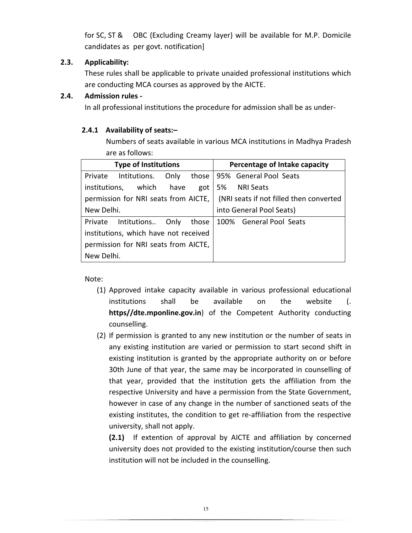for SC, ST & OBC (Excluding Creamy layer) will be available for M.P. Domicile candidates as per govt. notification]

#### **2.3. Applicability:**

 These rules shall be applicable to private unaided professional institutions which are conducting MCA courses as approved by the AICTE.

#### **2.4. Admission rules -**

In all professional institutions the procedure for admission shall be as under-

#### **2.4.1 Availability of seats:–**

Numbers of seats available in various MCA institutions in Madhya Pradesh are as follows:

| <b>Type of Institutions</b>           |                                      |      |     | Percentage of Intake capacity           |                                                        |
|---------------------------------------|--------------------------------------|------|-----|-----------------------------------------|--------------------------------------------------------|
|                                       |                                      |      |     |                                         | Private Intitutions. Only those 95% General Pool Seats |
|                                       | institutions, which                  | have | got | 5%                                      | <b>NRI Seats</b>                                       |
|                                       | permission for NRI seats from AICTE, |      |     | (NRI seats if not filled then converted |                                                        |
| New Delhi.                            |                                      |      |     | into General Pool Seats)                |                                                        |
|                                       | Private Intitutions Only those       |      |     | 100% General Pool Seats                 |                                                        |
| institutions, which have not received |                                      |      |     |                                         |                                                        |
| permission for NRI seats from AICTE,  |                                      |      |     |                                         |                                                        |
|                                       | New Delhi.                           |      |     |                                         |                                                        |

Note:

- (1) Approved intake capacity available in various professional educational institutions shall be available on the website (. **https//dte.mponline.gov.in**) of the Competent Authority conducting counselling.
- (2) If permission is granted to any new institution or the number of seats in any existing institution are varied or permission to start second shift in existing institution is granted by the appropriate authority on or before 30th June of that year, the same may be incorporated in counselling of that year, provided that the institution gets the affiliation from the respective University and have a permission from the State Government, however in case of any change in the number of sanctioned seats of the existing institutes, the condition to get re-affiliation from the respective university, shall not apply.

**(2.1)** If extention of approval by AICTE and affiliation by concerned university does not provided to the existing institution/course then such institution will not be included in the counselling.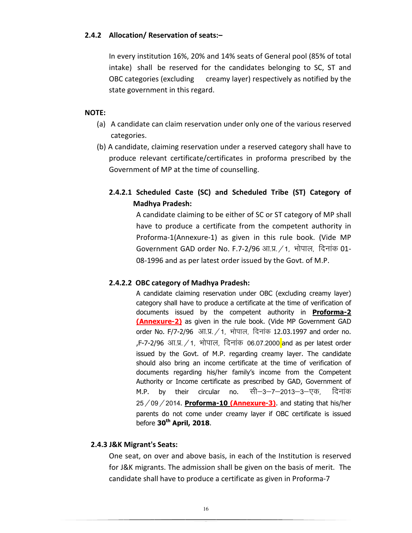#### **2.4.2 Allocation/ Reservation of seats:–**

 In every institution 16%, 20% and 14% seats of General pool (85% of total intake) shall be reserved for the candidates belonging to SC, ST and OBC categories (excluding creamy layer) respectively as notified by the state government in this regard.

#### **NOTE:**

- (a) A candidate can claim reservation under only one of the various reserved categories.
- (b) A candidate, claiming reservation under a reserved category shall have to produce relevant certificate/certificates in proforma prescribed by the Government of MP at the time of counselling.

### **2.4.2.1 Scheduled Caste (SC) and Scheduled Tribe (ST) Category of Madhya Pradesh:**

A candidate claiming to be either of SC or ST category of MP shall have to produce a certificate from the competent authority in Proforma-1(Annexure-1) as given in this rule book. (Vide MP Government GAD order No. F.7-2/96 आ.प्र. / 1, भोपाल, दिनांक 01-08-1996 and as per latest order issued by the Govt. of M.P.

#### **2.4.2.2 OBC category of Madhya Pradesh:**

A candidate claiming reservation under OBC (excluding creamy layer) category shall have to produce a certificate at the time of verification of documents issued by the competent authority in **Proforma-2 (Annexure-2)** as given in the rule book. (Vide MP Government GAD order No. F/7-2/96 आ.प्र.  $/1$ , भोपाल, दिनांक 12.03.1997 and order no. ,F-7-2/96 आ.प्र. / 1, भोपाल, दिनांक 06.07.2000 and as per latest order issued by the Govt. of M.P. regarding creamy layer. The candidate should also bring an income certificate at the time of verification of documents regarding his/her family's income from the Competent Authority or Income certificate as prescribed by GAD, Government of M.P. by their circular no. सी—3—7—2013—3—एक, दिनांक  $25/09/2014$ . **Proforma-10 (Annexure-3)**. and stating that his/her parents do not come under creamy layer if OBC certificate is issued before **30th April, 2018**.

#### **2.4.3 J&K Migrant's Seats:**

One seat, on over and above basis, in each of the Institution is reserved for J&K migrants. The admission shall be given on the basis of merit. The candidate shall have to produce a certificate as given in Proforma-7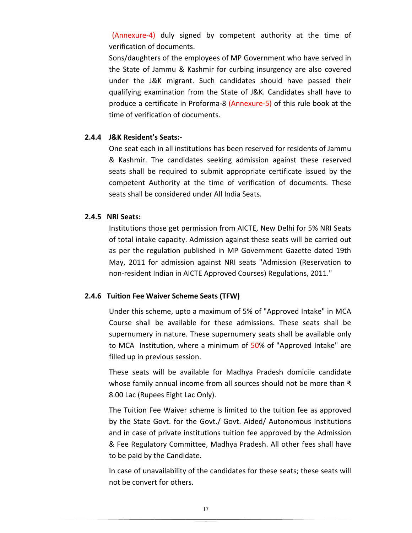(Annexure-4) duly signed by competent authority at the time of verification of documents.

Sons/daughters of the employees of MP Government who have served in the State of Jammu & Kashmir for curbing insurgency are also covered under the J&K migrant. Such candidates should have passed their qualifying examination from the State of J&K. Candidates shall have to produce a certificate in Proforma-8 (Annexure-5) of this rule book at the time of verification of documents.

#### **2.4.4 J&K Resident's Seats:-**

One seat each in all institutions has been reserved for residents of Jammu & Kashmir. The candidates seeking admission against these reserved seats shall be required to submit appropriate certificate issued by the competent Authority at the time of verification of documents. These seats shall be considered under All India Seats.

#### **2.4.5 NRI Seats:**

Institutions those get permission from AICTE, New Delhi for 5% NRI Seats of total intake capacity. Admission against these seats will be carried out as per the regulation published in MP Government Gazette dated 19th May, 2011 for admission against NRI seats "Admission (Reservation to non-resident Indian in AICTE Approved Courses) Regulations, 2011."

#### **2.4.6 Tuition Fee Waiver Scheme Seats (TFW)**

Under this scheme, upto a maximum of 5% of "Approved Intake" in MCA Course shall be available for these admissions. These seats shall be supernumery in nature. These supernumery seats shall be available only to MCA Institution, where a minimum of 50% of "Approved Intake" are filled up in previous session.

These seats will be available for Madhya Pradesh domicile candidate whose family annual income from all sources should not be more than ₹ 8.00 Lac (Rupees Eight Lac Only).

The Tuition Fee Waiver scheme is limited to the tuition fee as approved by the State Govt. for the Govt./ Govt. Aided/ Autonomous Institutions and in case of private institutions tuition fee approved by the Admission & Fee Regulatory Committee, Madhya Pradesh. All other fees shall have to be paid by the Candidate.

In case of unavailability of the candidates for these seats; these seats will not be convert for others.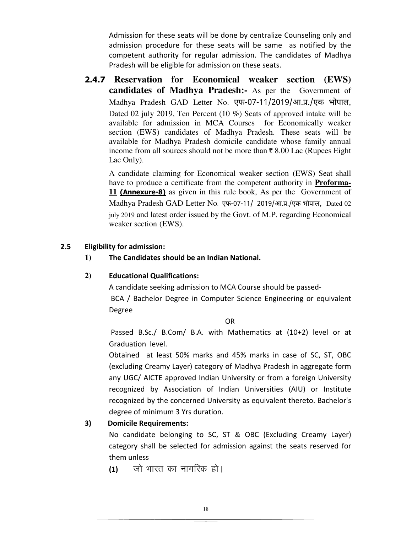Admission for these seats will be done by centralize Counseling only and admission procedure for these seats will be same as notified by the competent authority for regular admission. The candidates of Madhya Pradesh will be eligible for admission on these seats.

**2.4.7 Reservation for Economical weaker section (EWS) candidates of Madhya Pradesh:-** As per the Government of Madhya Pradesh GAD Letter No. एफ-07-11/2019/आ.प्र./एक भोपाल. Dated 02 july 2019, Ten Percent (10 %) Seats of approved intake will be available for admission in MCA Courses for Economically weaker section (EWS) candidates of Madhya Pradesh. These seats will be available for Madhya Pradesh domicile candidate whose family annual income from all sources should not be more than  $\bar{\tau}$  8.00 Lac (Rupees Eight Lac Only).

A candidate claiming for Economical weaker section (EWS) Seat shall have to produce a certificate from the competent authority in **Proforma-11 (Annexure-8)** as given in this rule book, As per the Government of Madhya Pradesh GAD Letter No. एफ-07-11/ 2019/आ.प्र./एक भोपाल, Dated 02 july 2019 and latest order issued by the Govt. of M.P. regarding Economical weaker section (EWS).

#### **2.5 Eligibility for admission:**

**1) The Candidates should be an Indian National.** 

#### **2) Educational Qualifications:**

A candidate seeking admission to MCA Course should be passed- BCA / Bachelor Degree in Computer Science Engineering or equivalent Degree

OR

 Passed B.Sc./ B.Com/ B.A. with Mathematics at (10+2) level or at Graduation level.

Obtained at least 50% marks and 45% marks in case of SC, ST, OBC (excluding Creamy Layer) category of Madhya Pradesh in aggregate form any UGC/ AICTE approved Indian University or from a foreign University recognized by Association of Indian Universities (AIU) or Institute recognized by the concerned University as equivalent thereto. Bachelor's degree of minimum 3 Yrs duration.

#### **3) Domicile Requirements:**

No candidate belonging to SC, ST & OBC (Excluding Creamy Layer) category shall be selected for admission against the seats reserved for them unless

**(1)** जो भारत का नागरिक हो।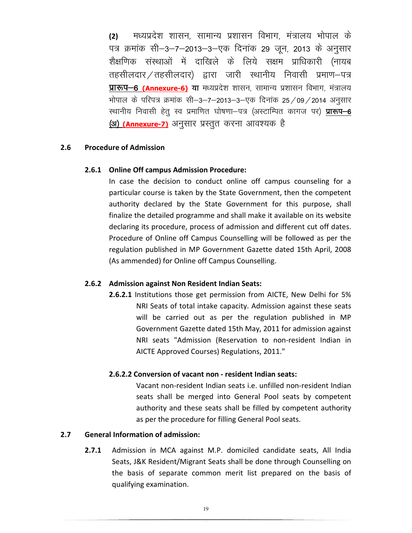**(2)** मध्यप्रदेश शासन, सामान्य प्रशासन विभाग, मंत्रालय भोपाल के पत्र क्रमांक सी–3–7–2013–3–एक दिनांक 29 जून, 2013 के अनुसार शैक्षणिक संस्थाओं में दाखिले के लिये सक्षम प्राधिकारी (नायब तहसीलदार / तहसीलदार) द्वारा जारी स्थानीय निवासी प्रमाण–पत्र **प्रारूप-6 (Annexure-6) या** मध्यप्रदेश शासन, सामान्य प्रशासन विभाग, मंत्रालय भोपाल के परिपत्र क्रमांक सी–3–7–2013–3–एक दिनांक 25/09/2014 अनुसार स्थानीय निवासी हेतु स्व प्रमाणित घोषणा—पत्र (अस्टाम्पित कागज पर) **प्रारूप–6** (अ) (Annexure-7) अनुसार प्रस्तुत करना आवश्यक है

#### **2.6 Procedure of Admission**

#### **2.6.1 Online Off campus Admission Procedure:**

In case the decision to conduct online off campus counseling for a particular course is taken by the State Government, then the competent authority declared by the State Government for this purpose, shall finalize the detailed programme and shall make it available on its website declaring its procedure, process of admission and different cut off dates. Procedure of Online off Campus Counselling will be followed as per the regulation published in MP Government Gazette dated 15th April, 2008 (As ammended) for Online off Campus Counselling.

#### **2.6.2 Admission against Non Resident Indian Seats:**

**2.6.2.1** Institutions those get permission from AICTE, New Delhi for 5% NRI Seats of total intake capacity. Admission against these seats will be carried out as per the regulation published in MP Government Gazette dated 15th May, 2011 for admission against NRI seats "Admission (Reservation to non-resident Indian in AICTE Approved Courses) Regulations, 2011."

#### **2.6.2.2 Conversion of vacant non - resident Indian seats:**

Vacant non-resident Indian seats i.e. unfilled non-resident Indian seats shall be merged into General Pool seats by competent authority and these seats shall be filled by competent authority as per the procedure for filling General Pool seats.

#### **2.7 General Information of admission:**

**2.7.1** Admission in MCA against M.P. domiciled candidate seats, All India Seats, J&K Resident/Migrant Seats shall be done through Counselling on the basis of separate common merit list prepared on the basis of qualifying examination.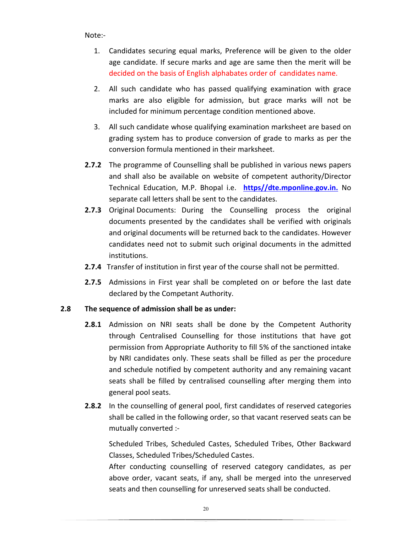Note:-

- 1. Candidates securing equal marks, Preference will be given to the older age candidate. If secure marks and age are same then the merit will be decided on the basis of English alphabates order of candidates name.
- 2. All such candidate who has passed qualifying examination with grace marks are also eligible for admission, but grace marks will not be included for minimum percentage condition mentioned above.
- 3. All such candidate whose qualifying examination marksheet are based on grading system has to produce conversion of grade to marks as per the conversion formula mentioned in their marksheet.
- **2.7.2** The programme of Counselling shall be published in various news papers and shall also be available on website of competent authority/Director Technical Education, M.P. Bhopal i.e. **https//dte.mponline.gov.in.** No separate call letters shall be sent to the candidates.
- **2.7.3** Original Documents: During the Counselling process the original documents presented by the candidates shall be verified with originals and original documents will be returned back to the candidates. However candidates need not to submit such original documents in the admitted institutions.
- **2.7.4** Transfer of institution in first year of the course shall not be permitted.
- **2.7.5** Admissions in First year shall be completed on or before the last date declared by the Competant Authority.

#### **2.8 The sequence of admission shall be as under:**

- **2.8.1** Admission on NRI seats shall be done by the Competent Authority through Centralised Counselling for those institutions that have got permission from Appropriate Authority to fill 5% of the sanctioned intake by NRI candidates only. These seats shall be filled as per the procedure and schedule notified by competent authority and any remaining vacant seats shall be filled by centralised counselling after merging them into general pool seats.
- **2.8.2** In the counselling of general pool, first candidates of reserved categories shall be called in the following order, so that vacant reserved seats can be mutually converted :-

Scheduled Tribes, Scheduled Castes, Scheduled Tribes, Other Backward Classes, Scheduled Tribes/Scheduled Castes.

After conducting counselling of reserved category candidates, as per above order, vacant seats, if any, shall be merged into the unreserved seats and then counselling for unreserved seats shall be conducted.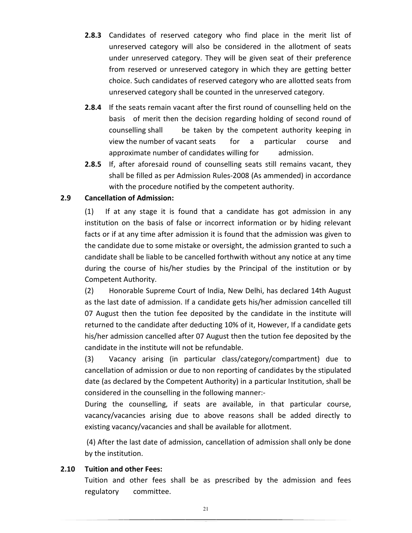- **2.8.3** Candidates of reserved category who find place in the merit list of unreserved category will also be considered in the allotment of seats under unreserved category. They will be given seat of their preference from reserved or unreserved category in which they are getting better choice. Such candidates of reserved category who are allotted seats from unreserved category shall be counted in the unreserved category.
- **2.8.4** If the seats remain vacant after the first round of counselling held on the basis of merit then the decision regarding holding of second round of counselling shall be taken by the competent authority keeping in view the number of vacant seats for a particular course and approximate number of candidates willing for admission.
- **2.8.5** If, after aforesaid round of counselling seats still remains vacant, they shall be filled as per Admission Rules-2008 (As ammended) in accordance with the procedure notified by the competent authority.

#### **2.9 Cancellation of Admission:**

(1) If at any stage it is found that a candidate has got admission in any institution on the basis of false or incorrect information or by hiding relevant facts or if at any time after admission it is found that the admission was given to the candidate due to some mistake or oversight, the admission granted to such a candidate shall be liable to be cancelled forthwith without any notice at any time during the course of his/her studies by the Principal of the institution or by Competent Authority.

(2) Honorable Supreme Court of India, New Delhi, has declared 14th August as the last date of admission. If a candidate gets his/her admission cancelled till 07 August then the tution fee deposited by the candidate in the institute will returned to the candidate after deducting 10% of it, However, If a candidate gets his/her admission cancelled after 07 August then the tution fee deposited by the candidate in the institute will not be refundable.

(3) Vacancy arising (in particular class/category/compartment) due to cancellation of admission or due to non reporting of candidates by the stipulated date (as declared by the Competent Authority) in a particular Institution, shall be considered in the counselling in the following manner:-

During the counselling, if seats are available, in that particular course, vacancy/vacancies arising due to above reasons shall be added directly to existing vacancy/vacancies and shall be available for allotment.

 (4) After the last date of admission, cancellation of admission shall only be done by the institution.

#### **2.10 Tuition and other Fees:**

 Tuition and other fees shall be as prescribed by the admission and fees regulatory committee.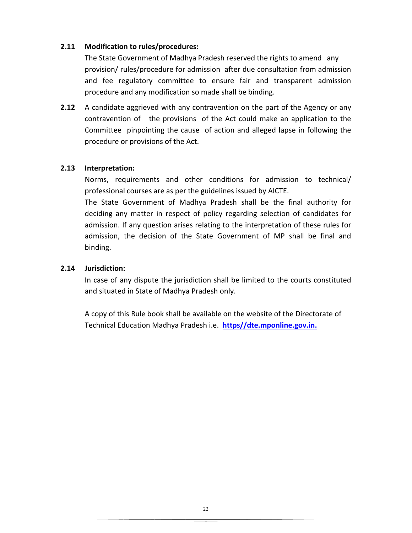#### **2.11 Modification to rules/procedures:**

The State Government of Madhya Pradesh reserved the rights to amend any provision/ rules/procedure for admission after due consultation from admission and fee regulatory committee to ensure fair and transparent admission procedure and any modification so made shall be binding.

**2.12** A candidate aggrieved with any contravention on the part of the Agency or any contravention of the provisions of the Act could make an application to the Committee pinpointing the cause of action and alleged lapse in following the procedure or provisions of the Act.

#### **2.13 Interpretation:**

Norms, requirements and other conditions for admission to technical/ professional courses are as per the guidelines issued by AICTE. The State Government of Madhya Pradesh shall be the final authority for deciding any matter in respect of policy regarding selection of candidates for admission. If any question arises relating to the interpretation of these rules for admission, the decision of the State Government of MP shall be final and binding.

#### **2.14 Jurisdiction:**

In case of any dispute the jurisdiction shall be limited to the courts constituted and situated in State of Madhya Pradesh only.

A copy of this Rule book shall be available on the website of the Directorate of Technical Education Madhya Pradesh i.e. **https//dte.mponline.gov.in.**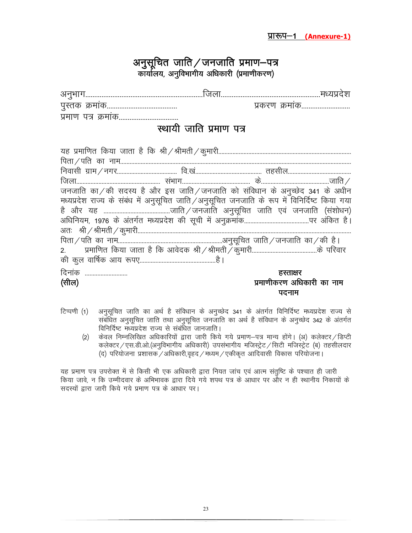### अनुसूचित जाति $\hspace{0.1 cm}/$ जनजाति प्रमाण—पत्र कार्यालय, अनुविभागीय अधिकारी (प्रमाणीकरण)

| ◡                            |   |
|------------------------------|---|
| <br>$\overline{\phantom{a}}$ | . |
| □ヘ                           |   |

## स्थायी जाति प्रमाण पत्र

| जनजाति का / की सदस्य है और इस जाति / जनजाति को संविधान के अनुच्छेद 341 के अधीन                |  |                           |
|-----------------------------------------------------------------------------------------------|--|---------------------------|
| मध्यप्रदेश राज्य के संबंध में अनुसूचित जाति / अनुसूचित जनजाति के रूप में विनिर्दिष्ट किया गया |  |                           |
|                                                                                               |  |                           |
|                                                                                               |  |                           |
|                                                                                               |  |                           |
|                                                                                               |  |                           |
|                                                                                               |  |                           |
|                                                                                               |  |                           |
| दिनांक                                                                                        |  | हस्ताक्षर                 |
| (सील)                                                                                         |  | प्रमाणीकरण अधिकारी का नाम |
|                                                                                               |  | पदनाम                     |

- टिप्पणी (1) अनुसूचित जाति का अर्थ है संविधान के अनुच्छेद 341 के अंतर्गत विनिर्दिष्ट मध्यप्रदेश राज्य से संबंधित अनुसूचित जाति तथा अनुसूचित जनजाति का अर्थ है संविधान के अनुच्छेद 342 के अंतर्गत विनिर्दिष्ट मध्यप्रदेश राज्य से संबंधित जानजाति।
	- (2) केवल निम्नलिखित अधिकारियों द्वारा जारी किये गये प्रमाण-पत्र मान्य होंगे। (अ) कलेक्टर / डिप्टी कलेक्टर / एस.डी.ओ.(अनुविभागीय अधिकारी) उपसंभागीय मजिस्ट्रेट / सिटी मजिस्ट्रेट (ब) तहसीलदार  $\sigma(\vec{k})$  परियोजना प्रशासक $\sigma/3$ धिकारी,वृहद $\sigma/4$ स्थम $\sigma/3$ कीकृत आदिवासी विकास परियोजना।

यह प्रमाण पत्र उपरोक्त में से किसी भी एक अधिकारी द्वारा नियत जांच एवं आत्म संतुष्टि के पश्चात ही जारी किया जावे. न कि उम्मीदवार के अभिभावक द्वारा दिये गये शपथ पत्र के आधार पर और न ही स्थानीय निकायों के सदस्यों द्वारा जारी किये गये प्रमाण पत्र के आधार पर।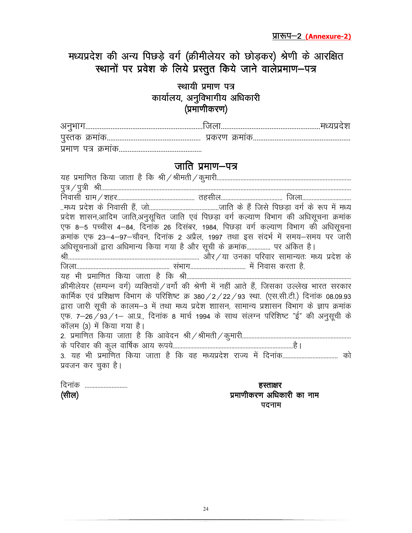# मध्यप्रदेश की अन्य पिछड़े वर्ग (क्रीमीलेयर को छोड़कर) श्रेणी के आरक्षित स्थानों पर प्रवेश के लिये प्रस्तुत किये जाने वालेप्रमाण–पत्र

स्थायी प्रमाण पत्र कार्यालय, अनुविभागीय अधिकारी (प्रमाणीकरण)

|              | ັ |  |
|--------------|---|--|
| प्रमाण<br>⊌⊴ |   |  |

# जाति प्रमाण $-$ पत्र

| प्रदेश शासन,आदिम जाति,अनुसूचित जाति एवं पिछड़ा वर्ग कल्याण विभाग की अधिसूचना क्रमांक             |           |  |
|--------------------------------------------------------------------------------------------------|-----------|--|
| एफ 8-5 पच्चीस 4-84, दिनांक 26 दिसंबर, 1984, पिछड़ा वर्ग कल्याण विभाग की अधिसूचना                 |           |  |
| क्रमांक एफ 23–4–97–चौवन, दिनांक 2 अप्रैल, 1997 तथा इस संदर्भ में समय–समय पर जारी                 |           |  |
| अधिसूचनाओं द्वारा अधिमान्य किया गया है और सूची के क्रमांक पर अंकित है।                           |           |  |
|                                                                                                  |           |  |
|                                                                                                  |           |  |
|                                                                                                  |           |  |
| क्रीमीलेयर (सम्पन्न वर्ग) व्यक्तियों / वर्गो की श्रेणी में नहीं आते हैं, जिसका उल्लेख भारत सरकार |           |  |
| कार्मिक एवं प्रशिक्षण विभाग के परिशिष्ट क्र 380 / 2 / 22 / 93 स्था. (एस.सी.टी.) दिनांक 08.09.93  |           |  |
| द्वारा जारी सूची के कालम-3 में तथा मध्य प्रदेश शाासन, सामान्य प्रशासन विभाग के ज्ञाप क्रमांक     |           |  |
| एफ. 7-26 / 93 / 1- आ.प्र., दिनांक 8 मार्च 1994 के साथ संलग्न परिशिष्ट "ई" की अनुसूची के          |           |  |
| कॉलम (3) में किया गया है।                                                                        |           |  |
|                                                                                                  |           |  |
|                                                                                                  |           |  |
|                                                                                                  |           |  |
| प्रवजन कर चुका है।                                                                               |           |  |
|                                                                                                  |           |  |
| दिनांक                                                                                           | हस्ताक्षर |  |

¼lhy½ izek.khdj.k vf/kdkjh dk uke izek.khdj.k vf/kdkjh dk ukedk uke inuke inuke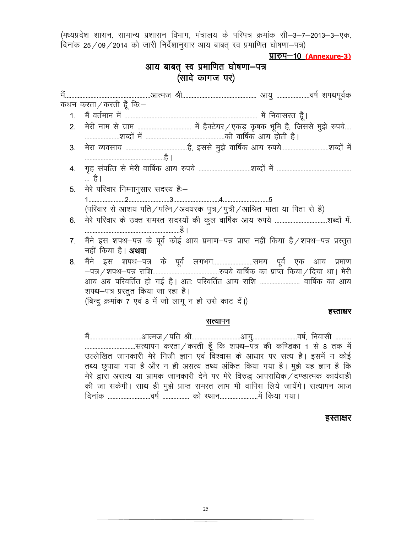(मध्यप्रदेश शासन, सामान्य प्रशासन विभाग, मंत्रालय के परिपत्र क्रमांक सी–3–7–2013–3–एक,  $\frac{1}{6}$ तिनांक 25/09/2014 को जारी निर्देशानूसार आय बाबत स्व प्रमाणित घोषणा–पत्र)

प्रारुप-10 (Annexure-3)

## आय बाबत् स्व प्रमाणित घोषणा-पत्र (सादे कागज पर)

|                | कथन करता / करती हूँ कि:-                                                                                                                                      |           |
|----------------|---------------------------------------------------------------------------------------------------------------------------------------------------------------|-----------|
|                |                                                                                                                                                               |           |
| 2.             |                                                                                                                                                               |           |
| 3 <sub>1</sub> |                                                                                                                                                               |           |
| 4.             | … है।                                                                                                                                                         |           |
| 5.             | मेरे परिवार निम्नानुसार सदस्य है:–                                                                                                                            |           |
|                | (परिवार से आशय पति / पत्नि / अवयस्क पुत्र / पुत्री / आश्रित माता या पिता से है)                                                                               |           |
| 6.             |                                                                                                                                                               |           |
| 7.             | मैंने इस शपथ-पत्र के पूर्व कोई आय प्रमाण-पत्र प्राप्त नहीं किया है/शपथ-पत्र प्रस्तुत<br>नहीं किया है। <b>अथवा</b>                                             |           |
| 8.             | आय अब परिवर्तित हो गई है। अतः परिवर्तित आय राशि  वार्षिक का आय<br>शपथ–पत्र प्रस्तुत किया जा रहा है।<br>(बिन्दु क्रमांक 7 एवं 8 में जो लागू न हो उसे काट दें।) |           |
|                |                                                                                                                                                               | हस्ताक्षर |
|                | सत्यापन                                                                                                                                                       |           |
|                | मैंआत्मज / पति  श्रीयर्ष, निवासी<br>उल्लेखित जानकारी मेरे निजी ज्ञान एवं विश्वास के आधार पर सत्य है। इसमें न कोई                                              |           |

तथ्य छुपाया गया है और न ही असत्य तथ्य अंकित किया गया है। मुझे यह ज्ञान है कि मेरे द्वारा असत्य या भ्रामक जानकारी देने पर मेरे विरुद्ध आपराधिक $\diagup$ दण्डात्मक कार्यवाही की जा सकेगी। साथ ही मुझे प्राप्त समस्त लाभ भी वापिस लिये जायेंगे। सत्यापन आज fnukad ---------------------------o"kZ ----------------- dks LFkku------------------------esa fd;k x;kA

#### हस्ताक्षर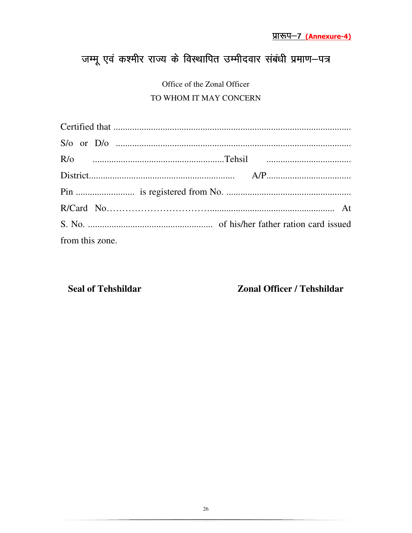# जम्मू एवं कश्मीर राज्य के विस्थापित उम्मीदवार संबंधी प्रमाण-पत्र

Office of the Zonal Officer TO WHOM IT MAY CONCERN

| from this zone. |  |
|-----------------|--|

**Seal of Tehshildar** 

**Zonal Officer / Tehshildar**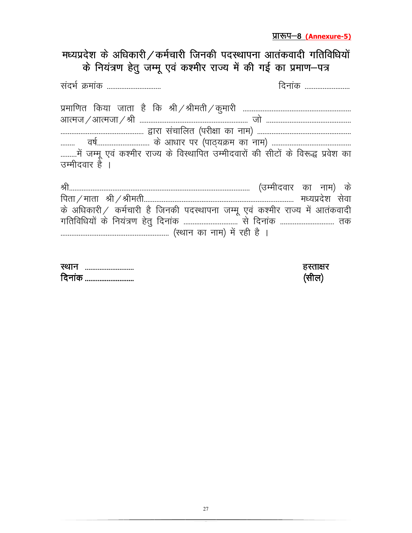**IXI**  $\sqrt{9}$  (**Annexure-5**)

मध्यप्रदेश के अधिकारी / कर्मचारी जिनकी पदस्थापना आतंकवादी गतिविधियों के नियंत्रण हेतु जम्मू एवं कश्मीर राज्य में की गई का प्रमाण-पत्र

lanHk Z Øek ad ------------------------------ fnuk ad ------------------------ izekf.kr fd;k tkrk g S fd Jh@Jherh@dqekjh ----------------------------------------------------------- vkRet@vkRetk@Jh ------------------------------------------------------------ tk s ----------------------------------------------- ---------------------------------------------- }kjk lapkfyr ¼ijh{kk dk uke½ ---------------------------------------------------- -------- o"k Z----------------------------- d s vk/kkj ij ¼ikB~;Øe dk uke½ -------------------------------------------- .........में जम्मू एवं कश्मीर राज्य के विस्थापित उम्मीदवारों की सीटों के विरूद्ध प्रवेश का त्तम्मीदवार है । Jh---------------------------------------------------------------------------------------------------- ¼mEehnokj dk uke½ d s

firk@ekrk Jh@Jherh----------------------------------------------------------------------------------- e/;izn s'k l sok के अधिकारी / कर्मचारी है जिनकी पदस्थापना जम्मू एवं कश्मीर राज्य में आतंकवादी xfrfof/k;k sa d s fu;a=.k g srq fnuk ad ------------------------------ ls fnuk ad ------------------------------ rd ------------------------------------------------------------ ¼LFkku dk uke½ e sa jgh g S A

| स्थ<br>. |  |
|----------|--|
| ।दन      |  |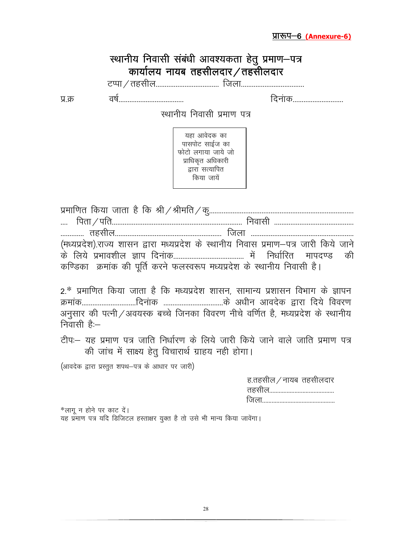| प्रारूप—6 (Annexure-6) |
|------------------------|
|                        |

|         | स्थानीय निवासी संबंधी आवश्यकता हेतु प्रमाण–पत्र<br>कार्यालय नायब तहसीलदार $\diagup$ तहसीलदार               |                                                                                                                                                                 |
|---------|------------------------------------------------------------------------------------------------------------|-----------------------------------------------------------------------------------------------------------------------------------------------------------------|
| प्र.क्र |                                                                                                            | <u>दिनांक</u>                                                                                                                                                   |
|         | स्थानीय निवासी प्रमाण पत्र                                                                                 |                                                                                                                                                                 |
|         | यहा आवेदक का<br>पासपोट साईज का<br>फोटो लगाया जाये जो<br>प्राधिकृत अधिकारी<br>द्वारा सत्यापित<br>किया जायें |                                                                                                                                                                 |
|         |                                                                                                            |                                                                                                                                                                 |
|         |                                                                                                            |                                                                                                                                                                 |
|         | कण्डिका क्रमांक की पूर्ति करने फलस्वरूप मध्यप्रदेश के स्थानीय निवासी है।                                   | (मध्यप्रदेश).राज्य शासन द्वारा मध्यप्रदेश के स्थानीय निवास प्रमाण-पत्र जारी किये जाने                                                                           |
|         |                                                                                                            | 2.* प्रमाणित किया जाता है कि मध्यप्रदेश शासन, सामान्य प्रशासन विभाग के ज्ञापन<br>अनुसार की पत्नी/अवयस्क बच्चे जिनका विवरण नीचे वर्णित है, मध्यप्रदेश के स्थानीय |

- निवासी हैः—
- टीपः- यह प्रमाण पत्र जाति निर्धारण के लिये जारी किये जाने वाले जाति प्रमाण पत्र को जांच में साक्ष्य हेतु विचारार्थ ग्राहय नही होगा।

 $($ आवदेक द्वारा प्रस्तुत शपथ-पत्र के आधार पर जारी)

| ह.तहसील $\angle$ नायब तहसीलदार |  |
|--------------------------------|--|
|                                |  |
|                                |  |

\*लागू न होने पर काट दें। यह प्रमाण पत्र यदि डिजिटल हस्ताक्षर युक्त है तो उसे भी मान्य किया जावेंगा।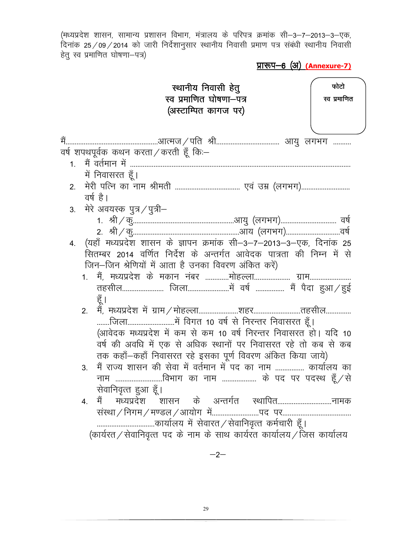(मध्यप्रदेश शासन, सामान्य प्रशासन विभाग, मंत्रालय के परिपत्र क्रमांक सी–3–7–2013–3–एक, दिनांक 25 $\,$  09 $\,$  2014 को जारी निर्देशानुसार स्थानीय निवासी प्रमाण पत्र संबंधी स्थानीय निवासी हेतु स्व प्रमाणित घोषणा—पत्र)

<u>प्रारूप-6 (अ) (Annexure-7)</u>

|    | स्थानीय निवासी हेतु<br>स्व प्रमाणित घोषणा—पत्र<br>(अस्टाम्पित कागज पर)  | फोटो<br>स्व प्रमाणित |
|----|-------------------------------------------------------------------------|----------------------|
|    |                                                                         |                      |
|    | वर्ष शपथपूर्वक कथन करता / करती हूँ कि:-                                 |                      |
|    |                                                                         |                      |
|    | में निवासरत हूँ।                                                        |                      |
| 2. |                                                                         |                      |
|    | वर्ष है।                                                                |                      |
| 3. | मेरे अवयस्क पुत्र/पुत्री–                                               |                      |
|    |                                                                         |                      |
|    |                                                                         |                      |
|    | 4. (यहाँ मध्यप्रदेश शासन के ज्ञापन क्रमांक सी-3-7-2013-3-एक, दिनांक 25  |                      |
|    | सितम्बर 2014 वर्णित निर्देश के अन्तर्गत आवेदक पात्रता की निम्न में से   |                      |
|    | जिन–जिन श्रेणियों में आता है उनका विवरण अंकित करें)                     |                      |
|    | 1. मैं, मध्यप्रदेश के मकान नंबर मोहल्ला ग्राम                           |                      |
|    |                                                                         |                      |
|    | हूँ।                                                                    |                      |
|    |                                                                         |                      |
|    |                                                                         |                      |
|    | (आवेदक मध्यप्रदेश में कम से कम 10 वर्ष निरन्तर निवासरत हो। यदि 10       |                      |
|    | वर्ष की अवधि में एक से अधिक स्थानों पर निवासरत रहे तो कब से कब          |                      |
|    | तक कहाँ–कहाँ निवासरत रहे इसका पूर्ण विवरण अंकित किया जाये)              |                      |
|    | मैं राज्य शासन की सेवा में वर्तमान में पद का नाम  कार्यालय का<br>3.     |                      |
|    | नाम विभाग का नाम  के पद पर पदस्थ हूँ / से                               |                      |
|    | सेवानिवृत्त हुआ हूँ।<br>4. मैं मध्यप्रदेश शासन के अन्तर्गत स्थापितनामक  |                      |
|    |                                                                         |                      |
|    |                                                                         |                      |
|    | (कार्यरत / सेवानिवृत्त पद के नाम के साथ कार्यरत कार्यालय / जिस कार्यालय |                      |
|    |                                                                         |                      |
|    |                                                                         |                      |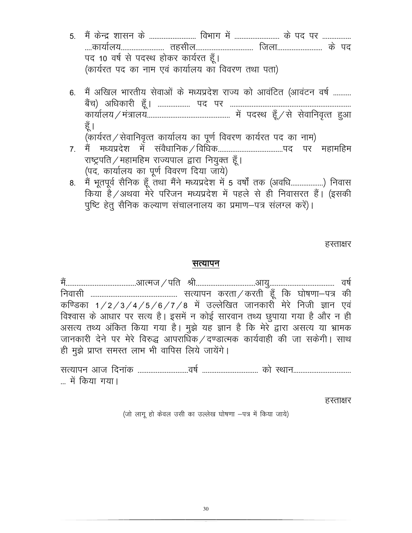- 5. मैं केन्द्र शासन के ........................... विभाग में ........................... के पद पर .............. ----dk;k Zy;------------------------ rglhy-------------------------------- ftyk------------------------- d s in पद 10 वर्ष से पदस्थ होकर कार्यरत हैं। (कार्यरत पद का नाम एवं कार्यालय का विवरण तथा पता) 6. मैं अखिल भारतीय सेवाओं के मध्यप्रदेश राज्य को आवंटित (आवंटन वर्ष .......... cS ap½ vf/kdkjh g w¡A ------------------ in ij ------------------------------------------------------------------ dk;k Zy;@e a=ky;---------------------------------------------- e sa inLFk g w¡@l s l sokfuo`Rr g qvk हूँ ।  $\ddot{\text{(}}$ कार्यरत $\diagup$ सेवानिवृत्त कार्यालय का पूर्ण विवरण कार्यरत पद का नाम) 7- eS a e/;izn s'k e s a l aoS/kkfud@fof/kd------------------------------------in ij egkefge राष्ट्रपति ⁄ महामहिम राज्यपाल द्वारा नियुक्त हूँ। (पद, कार्यालय का पूर्ण विवरण दिया जाये) 8. मैं भूतपूर्व सैनिक हूँ तथा मैंने मध्यप्रदेश में 5 वर्षों तक (अवधि..................) निवास
- किया है / अथवा मेरे परिजन मध्यप्रदेश में पहले से ही निवासरत हैं। (इसकी पुष्टि हेतू सैनिक कल्याण संचालनालय का प्रमाण-पत्र संलग्ल करें)।

हस्ताक्षर

#### सत्यापन

eS a---------------------------------------vkRet@ifr Jh---------------------------------vk;q------------------------------------ o"k Z fuoklh ------------------------------------------------ lR;kiu djrk@djrh g w¡ fd ?kks"k.kk&i= dh कण्डिका 1/2/3/4/5/6/7/8 में उल्लेखित जानकारी मेरे निजी ज्ञान एवं विश्वास के आधार पर सत्य है। इसमें न कोई सारवान तथ्य छूपाया गया है और न ही असत्य तथ्य अंकित किया गया है। मुझे यह ज्ञान है कि मेरे द्वारा असत्य या भ्रामक जानकारी देने पर मेरे विरुद्ध आपराधिक / दण्डात्मक कार्यवाही की जा सकेगी। साथ ही मुझे प्राप्त समस्त लाभ भी वापिस लिये जायेंगे।

lR;kiu vkt fnuk ad ----------------------------o"k Z ------------------------------- dk s LFkku-------------------------------- ... में किया गया।

हस्ताक्षर

(जो लागू हो केवल उसी का उल्लेख घोषणा –पत्र में किया जाये)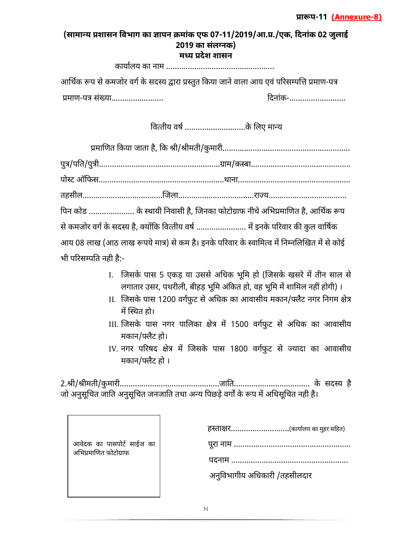#### (सामान्य प्रशासन विभाग का ज्ञापन क्रमांक एफ 07-11/2019/आ.प्र./एक, दिनांक 02 जुलाई **2019 का संलग्नक) म( य देश शासन**

कायालय का नाम

आर्थिक रूप से कमजोर वर्ग के सदस्य द्वारा प्रस्तुत किया जाने वाला आय एवं परिसम्पत्ति प्रमाण-पत्र माणप. सं/ या 0दनांक

वित्तीय वर्ष ...........................के लिए मान्य

|                       | पिन कोड  के स्थायी निवासी है, जिनका फोटोग्राफ नीचे अभिप्रमाणित है, आर्थिक रूप               |
|-----------------------|---------------------------------------------------------------------------------------------|
|                       | से कमजोर वर्ग के सदस्य है, क्योंकि वित्तीय वर्ष  में इनके परिवार की कुल वार्षिक             |
|                       | आय 08 लाख (आठ लाख रूपये मात्र) से कम है। इनके परिवार के स्वामित्व में निम्नलिखित में से कोई |
| भी परिसम्पति नही है:- |                                                                                             |

- I. जिसके पास 5 एकड़ या उससे अधिक भूमि हो (जिसके खसरे में तीन साल से लगातार उसर, पथरीली, बीहड़ भूमि अंकित हो, वह भूमि में शामिल नहीं होगी) ।
- II. जिसके पास 1200 वर्गफुट से अधिक का आवासीय मकान/फ्लैट नगर निगम क्षेत्र में स्थित हो।
- III. जिसके पास नगर पालिका क्षेत्र में 1500 वर्गफुट से अधिक का आवासीय मकान/फ्लैट हो।
- IV. नगर परिषद क्षेत्र में जिसके पास 1800 वर्गफुट से ज्यादा का आवासीय मकान/फ्लैट हो ।

9ी9ीमतीकु मारीजा'त के सद# य है जो अनुसूचित जाति अनुसूचित जनजाति तथा अन्य पिछडे वर्गों के रूप में अधिसूचित नही है।

| आवेदक का पासपोर्ट साईज का<br>अभिप्रमाणित फोटोग्राफ |  |
|----------------------------------------------------|--|
|----------------------------------------------------|--|

| हस्ताक्षर(कार्यालय का मुहर सहित) |
|----------------------------------|
|                                  |
|                                  |
| अनुविभागीय अधिकारी /तहसीलदार     |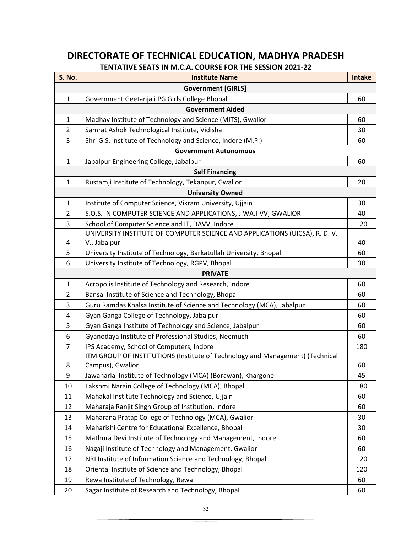# **DIRECTORATE OF TECHNICAL EDUCATION, MADHYA PRADESH**

#### **TENTATIVE SEATS IN M.C.A. COURSE FOR THE SESSION 2021-22**

| <b>S. No.</b>             | <b>Institute Name</b>                                                         | <b>Intake</b> |  |
|---------------------------|-------------------------------------------------------------------------------|---------------|--|
| <b>Government [GIRLS]</b> |                                                                               |               |  |
| $\mathbf{1}$              | Government Geetanjali PG Girls College Bhopal                                 | 60            |  |
|                           | <b>Government Aided</b>                                                       |               |  |
| 1                         | Madhav Institute of Technology and Science (MITS), Gwalior                    | 60            |  |
| $\overline{2}$            | Samrat Ashok Technological Institute, Vidisha                                 | 30            |  |
| 3                         | Shri G.S. Institute of Technology and Science, Indore (M.P.)                  | 60            |  |
|                           | <b>Government Autonomous</b>                                                  |               |  |
| $\mathbf{1}$              | Jabalpur Engineering College, Jabalpur                                        | 60            |  |
|                           | <b>Self Financing</b>                                                         |               |  |
| $\mathbf{1}$              | Rustamji Institute of Technology, Tekanpur, Gwalior                           | 20            |  |
|                           | <b>University Owned</b>                                                       |               |  |
| $\mathbf{1}$              | Institute of Computer Science, Vikram University, Ujjain                      | 30            |  |
| $\overline{2}$            | S.O.S. IN COMPUTER SCIENCE AND APPLICATIONS, JIWAJI VV, GWALIOR               | 40            |  |
| 3                         | School of Computer Science and IT, DAVV, Indore                               | 120           |  |
|                           | UNIVERSITY INSTITUTE OF COMPUTER SCIENCE AND APPLICATIONS (UICSA), R. D. V.   |               |  |
| 4                         | V., Jabalpur                                                                  | 40            |  |
| 5                         | University Institute of Technology, Barkatullah University, Bhopal            | 60            |  |
| 6                         | University Institute of Technology, RGPV, Bhopal                              | 30            |  |
|                           | <b>PRIVATE</b>                                                                |               |  |
| $\mathbf{1}$              | Acropolis Institute of Technology and Research, Indore                        | 60            |  |
| $\overline{2}$            | Bansal Institute of Science and Technology, Bhopal                            | 60            |  |
| 3                         | Guru Ramdas Khalsa Institute of Science and Technology (MCA), Jabalpur        | 60            |  |
| 4                         | Gyan Ganga College of Technology, Jabalpur                                    | 60            |  |
| 5                         | Gyan Ganga Institute of Technology and Science, Jabalpur                      | 60            |  |
| 6                         | Gyanodaya Institute of Professional Studies, Neemuch                          | 60            |  |
| 7                         | IPS Academy, School of Computers, Indore                                      | 180           |  |
|                           | ITM GROUP OF INSTITUTIONS (Institute of Technology and Management) (Technical |               |  |
| 8                         | Campus), Gwalior                                                              | 60            |  |
| 9                         | Jawaharlal Institute of Technology (MCA) (Borawan), Khargone                  | 45            |  |
| 10                        | Lakshmi Narain College of Technology (MCA), Bhopal                            | 180           |  |
| 11                        | Mahakal Institute Technology and Science, Ujjain                              | 60            |  |
| 12                        | Maharaja Ranjit Singh Group of Institution, Indore                            | 60            |  |
| 13                        | Maharana Pratap College of Technology (MCA), Gwalior                          | 30            |  |
| 14                        | Maharishi Centre for Educational Excellence, Bhopal                           | 30            |  |
| 15                        | Mathura Devi Institute of Technology and Management, Indore                   | 60            |  |
| 16                        | Nagaji Institute of Technology and Management, Gwalior                        | 60            |  |
| 17                        | NRI Institute of Information Science and Technology, Bhopal                   | 120           |  |
| 18                        | Oriental Institute of Science and Technology, Bhopal                          | 120           |  |
| 19                        | Rewa Institute of Technology, Rewa                                            | 60            |  |
| 20                        | Sagar Institute of Research and Technology, Bhopal                            | 60            |  |